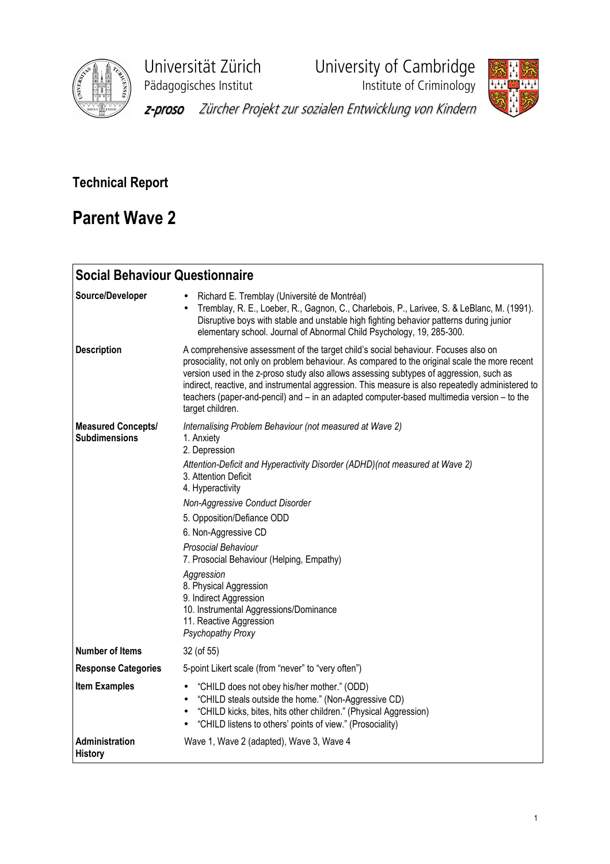

Universität Zürich<br>
Pädagogisches Institut<br>
Institute of Criminology

**Phagagogisches**<br>Institute of Criminology



z-proso Zürcher Projekt zur sozialen Entwicklung von Kindern

## Technical Report

# Parent Wave 2

| <b>Social Behaviour Questionnaire</b>             |                                                                                                                                                                                                                                                                                                                                                                                                                                                                                                                                             |
|---------------------------------------------------|---------------------------------------------------------------------------------------------------------------------------------------------------------------------------------------------------------------------------------------------------------------------------------------------------------------------------------------------------------------------------------------------------------------------------------------------------------------------------------------------------------------------------------------------|
| Source/Developer                                  | Richard E. Tremblay (Université de Montréal)<br>Tremblay, R. E., Loeber, R., Gagnon, C., Charlebois, P., Larivee, S. & LeBlanc, M. (1991).<br>$\bullet$<br>Disruptive boys with stable and unstable high fighting behavior patterns during junior<br>elementary school. Journal of Abnormal Child Psychology, 19, 285-300.                                                                                                                                                                                                                  |
| <b>Description</b>                                | A comprehensive assessment of the target child's social behaviour. Focuses also on<br>prosociality, not only on problem behaviour. As compared to the original scale the more recent<br>version used in the z-proso study also allows assessing subtypes of aggression, such as<br>indirect, reactive, and instrumental aggression. This measure is also repeatedly administered to<br>teachers (paper-and-pencil) and - in an adapted computer-based multimedia version - to the<br>target children.                                       |
| <b>Measured Concepts/</b><br><b>Subdimensions</b> | Internalising Problem Behaviour (not measured at Wave 2)<br>1. Anxiety<br>2. Depression<br>Attention-Deficit and Hyperactivity Disorder (ADHD)(not measured at Wave 2)<br>3. Attention Deficit<br>4. Hyperactivity<br>Non-Aggressive Conduct Disorder<br>5. Opposition/Defiance ODD<br>6. Non-Aggressive CD<br>Prosocial Behaviour<br>7. Prosocial Behaviour (Helping, Empathy)<br>Aggression<br>8. Physical Aggression<br>9. Indirect Aggression<br>10. Instrumental Aggressions/Dominance<br>11. Reactive Aggression<br>Psychopathy Proxy |
| <b>Number of Items</b>                            | 32 (of 55)                                                                                                                                                                                                                                                                                                                                                                                                                                                                                                                                  |
| <b>Response Categories</b>                        | 5-point Likert scale (from "never" to "very often")                                                                                                                                                                                                                                                                                                                                                                                                                                                                                         |
| <b>Item Examples</b>                              | "CHILD does not obey his/her mother." (ODD)<br>٠<br>"CHILD steals outside the home." (Non-Aggressive CD)<br>$\bullet$<br>"CHILD kicks, bites, hits other children." (Physical Aggression)<br>"CHILD listens to others' points of view." (Prosociality)                                                                                                                                                                                                                                                                                      |
| Administration<br><b>History</b>                  | Wave 1, Wave 2 (adapted), Wave 3, Wave 4                                                                                                                                                                                                                                                                                                                                                                                                                                                                                                    |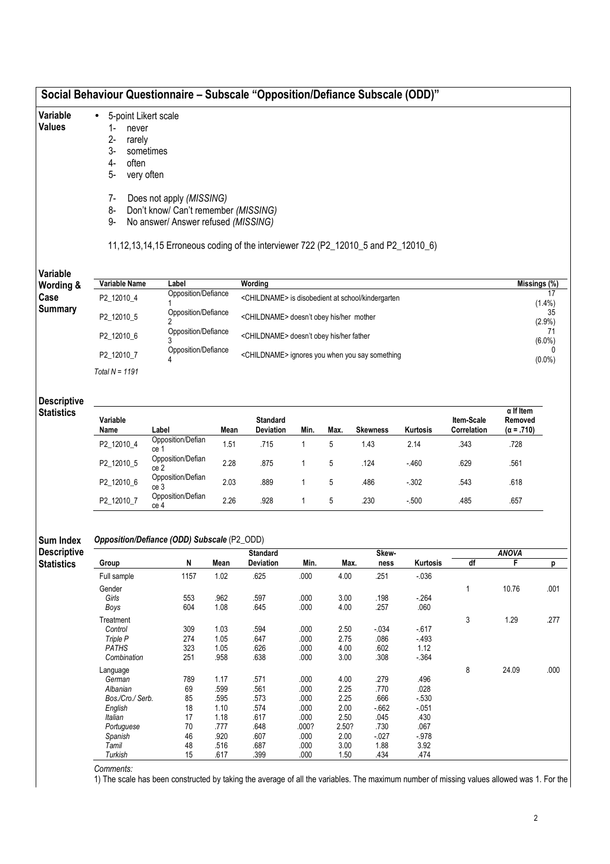## Social Behaviour Questionnaire – Subscale "Opposition/Defiance Subscale (ODD)"

#### Variable • 5-point Likert scale

### Values

- 1- never 2- rarely
- 3- sometimes
- 4- often
- 5- very often
- 7- Does not apply (MISSING)
- 8- Don't know/ Can't remember (MISSING)
- 9- No answer/ Answer refused (MISSING)

### 11,12,13,14,15 Erroneous coding of the interviewer 722 (P2\_12010\_5 and P2\_12010\_6)

### Variable Wordi

| Vallavic<br>Wording & | Variable Name  | Label               | Wordina                                                       | Missings (%) |
|-----------------------|----------------|---------------------|---------------------------------------------------------------|--------------|
| Case                  | P2 12010 4     | Opposition/Defiance | <childname> is disobedient at school/kindergarten</childname> | $(1.4\%)$    |
| <b>Summary</b>        | P2 12010 5     | Opposition/Defiance | <childname> doesn't obey his/her mother</childname>           | $(2.9\%)$    |
|                       | P2 12010 6     | Opposition/Defiance | <childname> doesn't obey his/her father</childname>           | $(6.0\%)$    |
|                       | P2 12010 7     | Opposition/Defiance | <childname> ignores you when you say something</childname>    | $(0.0\%)$    |
|                       | Total N = 1191 |                     |                                                               |              |

### Descriptive **Statistics**

| Variable<br>Name | Label                     | Mean | <b>Standard</b><br><b>Deviation</b> | Min. | Max. | <b>Skewness</b> | <b>Kurtosis</b> | Item-Scale<br>Correlation | $\alpha$ If Item<br>Removed<br>$(\alpha = .710)$ |
|------------------|---------------------------|------|-------------------------------------|------|------|-----------------|-----------------|---------------------------|--------------------------------------------------|
| P2 12010 4       | Opposition/Defian<br>ce   | .51  | .715                                |      | 5    | 1.43            | 2.14            | .343                      | .728                                             |
| P2 12010 5       | Opposition/Defian<br>ce 2 | 2.28 | .875                                |      | 5    | .124            | $-460$          | .629                      | .561                                             |
| P2 12010 6       | Opposition/Defian<br>ce 3 | 2.03 | .889                                |      | 5    | .486            | $-0.302$        | .543                      | .618                                             |
| P2 12010 7       | Opposition/Defian<br>ce 4 | 2.26 | .928                                |      | 5    | .230            | $-0.500$        | .485                      | .657                                             |

#### Sum Index Opposition/Defiance (ODD) Subscale (P2\_ODD)

Descriptiv **Statistics** 

|                  |      |      | <b>Standard</b>  |       |       | Skew-   |          |    | ANOVA |      |  |
|------------------|------|------|------------------|-------|-------|---------|----------|----|-------|------|--|
| Group            | N    | Mean | <b>Deviation</b> | Min.  | Max.  | ness    | Kurtosis | df | F     | р    |  |
| Full sample      | 1157 | 1.02 | .625             | .000  | 4.00  | .251    | $-0.36$  |    |       |      |  |
| Gender           |      |      |                  |       |       |         |          |    | 10.76 | .001 |  |
| Girls            | 553  | .962 | .597             | .000  | 3.00  | .198    | $-264$   |    |       |      |  |
| Boys             | 604  | 1.08 | .645             | .000  | 4.00  | .257    | .060     |    |       |      |  |
| Treatment        |      |      |                  |       |       |         |          | 3  | 1.29  | .277 |  |
| Control          | 309  | 1.03 | .594             | .000  | 2.50  | $-0.34$ | $-617$   |    |       |      |  |
| Triple P         | 274  | 1.05 | .647             | .000  | 2.75  | .086    | $-493$   |    |       |      |  |
| PATHS            | 323  | 1.05 | .626             | .000  | 4.00  | .602    | 1.12     |    |       |      |  |
| Combination      | 251  | .958 | .638             | .000  | 3.00  | .308    | -.364    |    |       |      |  |
| Language         |      |      |                  |       |       |         |          | 8  | 24.09 | .000 |  |
| German           | 789  | 1.17 | .571             | .000  | 4.00  | .279    | .496     |    |       |      |  |
| Albanian         | 69   | .599 | .561             | .000  | 2.25  | .770    | .028     |    |       |      |  |
| Bos./Cro./ Serb. | 85   | .595 | .573             | .000  | 2.25  | .666    | $-530$   |    |       |      |  |
| English          | 18   | 1.10 | .574             | .000  | 2.00  | $-662$  | $-051$   |    |       |      |  |
| Italian          | 17   | 1.18 | .617             | .000  | 2.50  | .045    | .430     |    |       |      |  |
| Portuguese       | 70   | .777 | .648             | .000? | 2.50? | .730    | .067     |    |       |      |  |
| Spanish          | 46   | .920 | .607             | .000  | 2.00  | $-027$  | -.978    |    |       |      |  |
| Tamil            | 48   | .516 | .687             | .000  | 3.00  | 1.88    | 3.92     |    |       |      |  |
| Turkish          | 15   | .617 | .399             | .000  | 1.50  | .434    | .474     |    |       |      |  |

Comments:

1) The scale has been constructed by taking the average of all the variables. The maximum number of missing values allowed was 1. For the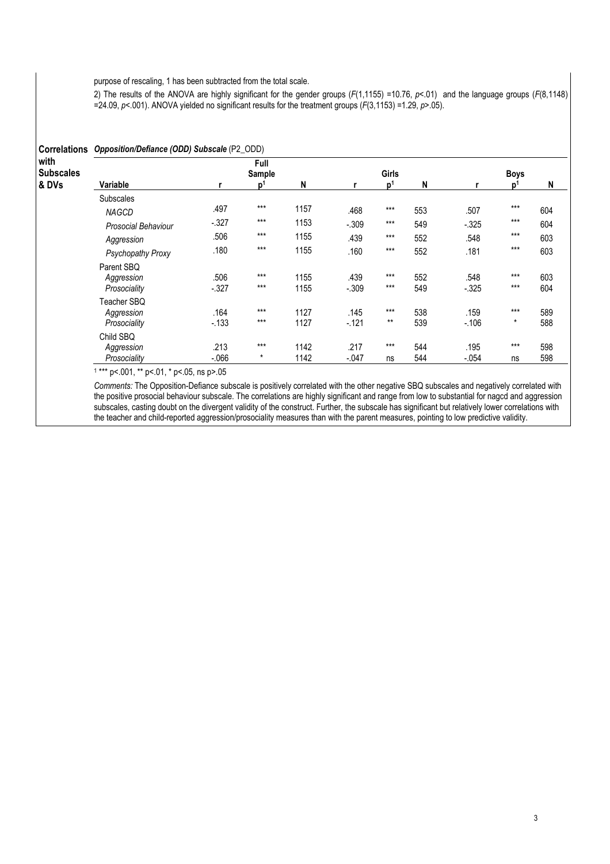purpose of rescaling, 1 has been subtracted from the total scale.

2) The results of the ANOVA are highly significant for the gender groups ( $F(1,1155)$  =10.76,  $p$ <.01) and the language groups ( $F(8,1148)$ = $24.09$ ,  $p$ <.001). ANOVA yielded no significant results for the treatment groups ( $F(3,1153)$  =1.29,  $p$ >.05).

|                                   | Correlations Opposition/Defiance (ODD) Subscale (P2_ODD) |                     |                  |              |                  |                                     |            |                  |                  |            |  |  |  |
|-----------------------------------|----------------------------------------------------------|---------------------|------------------|--------------|------------------|-------------------------------------|------------|------------------|------------------|------------|--|--|--|
| with<br><b>Subscales</b><br>& DVs | Variable                                                 | Full<br>Sample<br>N |                  |              |                  | <b>Girls</b><br>N<br>$\mathbf{D}^1$ |            |                  | <b>Boys</b>      |            |  |  |  |
|                                   |                                                          |                     | D <sup>1</sup>   |              |                  |                                     |            |                  | $\mathbf{D}^1$   | N          |  |  |  |
|                                   | <b>Subscales</b><br><b>NAGCD</b>                         | .497                | $***$            | 1157         | .468             | $***$                               | 553        | .507             | $***$            | 604        |  |  |  |
|                                   | <b>Prosocial Behaviour</b>                               | $-.327$             | $***$            | 1153         | $-.309$          | $***$                               | 549        | $-325$           | $***$            | 604        |  |  |  |
|                                   | Aggression                                               | .506                | $***$            | 1155         | .439             | $***$                               | 552        | .548             | $***$            | 603        |  |  |  |
|                                   | Psychopathy Proxy                                        | .180                | $***$            | 1155         | .160             | $***$                               | 552        | .181             | $***$            | 603        |  |  |  |
|                                   | Parent SBQ<br>Aggression<br>Prosociality                 | .506<br>$-.327$     | $***$<br>$***$   | 1155<br>1155 | .439<br>$-.309$  | $***$<br>$***$                      | 552<br>549 | .548<br>$-0.325$ | $***$<br>$***$   | 603<br>604 |  |  |  |
|                                   | Teacher SBQ<br>Aggression<br>Prosociality                | .164<br>$-133$      | $***$<br>$***$   | 1127<br>1127 | .145<br>$-0.121$ | $***$<br>$***$                      | 538<br>539 | .159<br>$-106$   | $***$<br>$\star$ | 589<br>588 |  |  |  |
|                                   | Child SBQ<br>Aggression<br>Prosociality                  | .213<br>$-066$      | $***$<br>$\star$ | 1142<br>1142 | .217<br>$-.047$  | $***$<br>ns                         | 544<br>544 | .195<br>$-.054$  | $***$<br>ns      | 598<br>598 |  |  |  |

1 \*\*\* p<.001, \*\* p<.01, \* p<.05, ns p>.05

Comments: The Opposition-Defiance subscale is positively correlated with the other negative SBQ subscales and negatively correlated with the positive prosocial behaviour subscale. The correlations are highly significant and range from low to substantial for nagcd and aggression subscales, casting doubt on the divergent validity of the construct. Further, the subscale has significant but relatively lower correlations with the teacher and child-reported aggression/prosociality measures than with the parent measures, pointing to low predictive validity.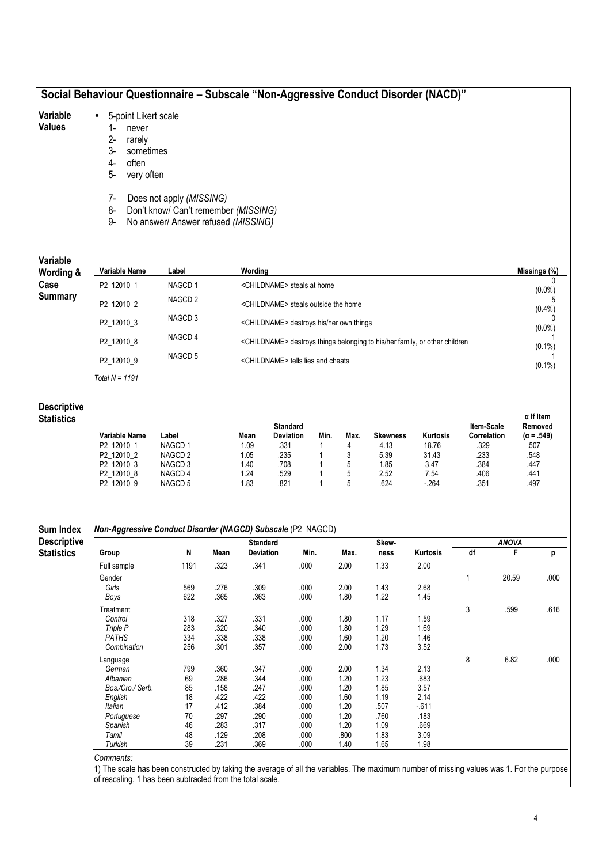|                                         | Social Behaviour Questionnaire - Subscale "Non-Aggressive Conduct Disorder (NACD)"                                                   |                                                                             |              |                                                                                        |                                                     |      |              |                 |                |                           |                   |                              |
|-----------------------------------------|--------------------------------------------------------------------------------------------------------------------------------------|-----------------------------------------------------------------------------|--------------|----------------------------------------------------------------------------------------|-----------------------------------------------------|------|--------------|-----------------|----------------|---------------------------|-------------------|------------------------------|
| Variable<br><b>Values</b>               | 5-point Likert scale<br>$\bullet$<br>$1 -$<br>never<br>$2 -$<br>rarely<br>3-<br>sometimes<br>4-<br>often<br>5-<br>very often<br>$7-$ | Does not apply (MISSING)                                                    |              |                                                                                        |                                                     |      |              |                 |                |                           |                   |                              |
|                                         | 8-<br>9-                                                                                                                             | Don't know/ Can't remember (MISSING)<br>No answer/ Answer refused (MISSING) |              |                                                                                        |                                                     |      |              |                 |                |                           |                   |                              |
| Variable                                |                                                                                                                                      |                                                                             |              |                                                                                        |                                                     |      |              |                 |                |                           |                   |                              |
| Wording &                               | Variable Name                                                                                                                        | Label                                                                       |              | Wording                                                                                |                                                     |      |              |                 |                |                           |                   | Missings (%)                 |
| Case<br><b>Summary</b>                  | P2_12010_1                                                                                                                           | NAGCD <sub>1</sub><br>NAGCD <sub>2</sub>                                    |              |                                                                                        | <childname> steals at home</childname>              |      |              |                 |                |                           |                   | $(0.0\%)$                    |
|                                         | P2_12010_2                                                                                                                           | NAGCD <sub>3</sub>                                                          |              |                                                                                        | <childname> steals outside the home</childname>     |      |              |                 |                |                           |                   | $(0.4\%)$                    |
|                                         | P2_12010_3                                                                                                                           | NAGCD <sub>4</sub>                                                          |              |                                                                                        | <childname> destroys his/her own things</childname> |      |              |                 |                |                           |                   | $(0.0\%)$                    |
|                                         | P2_12010_8                                                                                                                           |                                                                             |              | <childname> destroys things belonging to his/her family, or other children</childname> |                                                     |      |              |                 |                |                           |                   | $(0.1\%)$                    |
|                                         | P2_12010_9                                                                                                                           | NAGCD <sub>5</sub>                                                          |              | <childname> tells lies and cheats</childname>                                          |                                                     |      |              |                 |                |                           |                   | $(0.1\%)$                    |
|                                         | Total $N = 1191$                                                                                                                     |                                                                             |              |                                                                                        |                                                     |      |              |                 |                |                           |                   |                              |
| <b>Descriptive</b>                      |                                                                                                                                      |                                                                             |              |                                                                                        |                                                     |      |              |                 |                |                           |                   |                              |
| <b>Statistics</b>                       |                                                                                                                                      |                                                                             |              |                                                                                        |                                                     |      |              |                 |                |                           |                   | $\alpha$ If Item             |
|                                         | Variable Name                                                                                                                        | Label                                                                       |              | Mean                                                                                   | <b>Standard</b><br>Deviation                        | Min. | Max.         | <b>Skewness</b> | Kurtosis       | Item-Scale<br>Correlation |                   | Removed<br>$(\alpha = .549)$ |
|                                         | P2_12010_1<br>P2_12010_2                                                                                                             | NAGCD <sub>1</sub><br>NAGCD <sub>2</sub>                                    |              | 1.09<br>1.05                                                                           | .331<br>.235                                        | 1    | 4<br>3       | 4.13<br>5.39    | 18.76<br>31.43 | .329<br>.233              |                   | .507<br>.548                 |
|                                         | P2_12010_3                                                                                                                           | NAGCD 3                                                                     |              | 1.40                                                                                   | .708                                                |      | 5            | 1.85            | 3.47           | .384                      |                   | .447                         |
|                                         | P2_12010_8<br>P2_12010_9                                                                                                             | NAGCD <sub>4</sub><br>NAGCD <sub>5</sub>                                    |              | 1.24<br>1.83                                                                           | .529<br>.821                                        | 1    | 5<br>5       | 2.52<br>.624    | 7.54<br>$-264$ | .406<br>.351              |                   | .441<br>.497                 |
| <b>Sum Index</b>                        | <b>Non-Aggressive Conduct Disorder (NAGCD) Subscale (P2_NAGCD)</b>                                                                   |                                                                             |              |                                                                                        |                                                     |      |              |                 |                |                           |                   |                              |
| <b>Descriptive</b><br><b>Statistics</b> | Group                                                                                                                                | N                                                                           | Mean         | Standard<br>Deviation                                                                  | Min.                                                |      | Max.         | Skew-<br>ness   | Kurtosis       | df                        | <b>ANOVA</b><br>F | p                            |
|                                         | Full sample                                                                                                                          | 1191                                                                        | .323         | .341                                                                                   | .000                                                |      | 2.00         | 1.33            | 2.00           |                           |                   |                              |
|                                         | Gender                                                                                                                               |                                                                             |              |                                                                                        |                                                     |      |              |                 |                | $\mathbf{1}$              | 20.59             | .000                         |
|                                         | Girls<br>Boys                                                                                                                        | 569<br>622                                                                  | .276<br>.365 | .309<br>.363                                                                           | .000<br>.000                                        |      | 2.00<br>1.80 | 1.43<br>1.22    | 2.68<br>1.45   |                           |                   |                              |
|                                         | Treatment                                                                                                                            |                                                                             |              |                                                                                        |                                                     |      |              |                 |                | 3                         | .599              | .616                         |
|                                         | Control                                                                                                                              | 318                                                                         | .327         | .331                                                                                   | .000                                                |      | 1.80         | 1.17            | 1.59           |                           |                   |                              |
|                                         | Triple P                                                                                                                             | 283                                                                         | .320         | .340                                                                                   | .000                                                |      | 1.80         | 1.29            | 1.69           |                           |                   |                              |
|                                         | <b>PATHS</b><br>Combination                                                                                                          | 334<br>256                                                                  | .338<br>.301 | .338<br>.357                                                                           | .000<br>.000                                        |      | 1.60<br>2.00 | 1.20<br>1.73    | 1.46<br>3.52   |                           |                   |                              |
|                                         | Language                                                                                                                             |                                                                             |              |                                                                                        |                                                     |      |              |                 |                | 8                         | 6.82              | .000                         |
|                                         | German                                                                                                                               | 799                                                                         | .360         | .347                                                                                   | .000                                                |      | 2.00         | 1.34            | 2.13           |                           |                   |                              |
|                                         | Albanian                                                                                                                             | 69                                                                          | .286         | .344                                                                                   | .000                                                |      | 1.20         | 1.23            | .683           |                           |                   |                              |
|                                         | Bos./Cro./ Serb.                                                                                                                     | 85                                                                          | .158         | .247                                                                                   | .000                                                |      | 1.20         | 1.85            | 3.57           |                           |                   |                              |
|                                         | English<br>Italian                                                                                                                   | 18<br>17                                                                    | .422<br>.412 | .422<br>.384                                                                           | .000<br>.000                                        |      | 1.60<br>1.20 | 1.19<br>.507    | 2.14<br>$-611$ |                           |                   |                              |
|                                         | Portuguese                                                                                                                           | 70                                                                          | .297         | .290                                                                                   | .000                                                |      | 1.20         | .760            | .183           |                           |                   |                              |
|                                         | Spanish                                                                                                                              | 46                                                                          | .283         | .317                                                                                   | .000                                                |      | 1.20         | 1.09            | .669           |                           |                   |                              |
|                                         | Tamil                                                                                                                                | 48                                                                          | .129         | .208                                                                                   | .000                                                |      | .800         | 1.83            | 3.09           |                           |                   |                              |
|                                         | Turkish                                                                                                                              | 39                                                                          | .231         | .369                                                                                   | .000                                                |      | 1.40         | 1.65            | 1.98           |                           |                   |                              |

Comments:

1) The scale has been constructed by taking the average of all the variables. The maximum number of missing values was 1. For the purpose of rescaling, 1 has been subtracted from the total scale.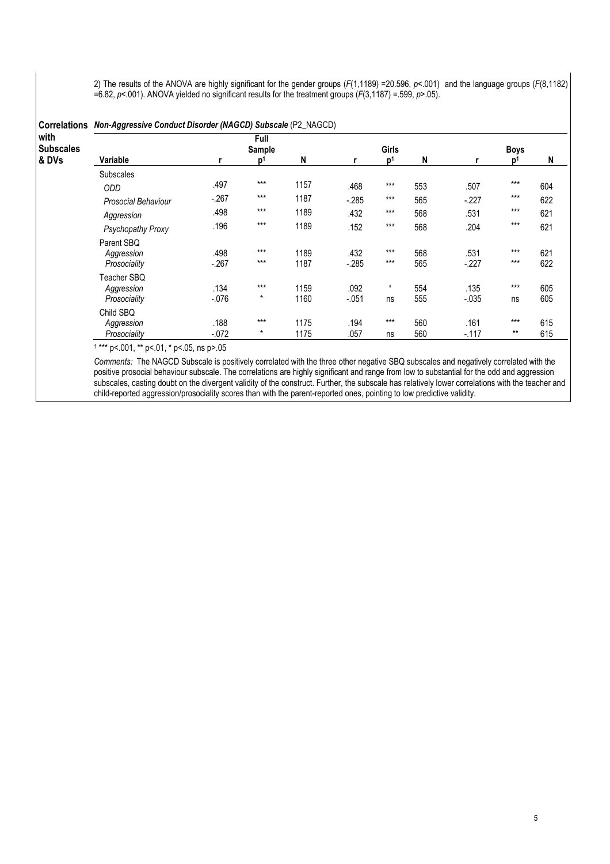2) The results of the ANOVA are highly significant for the gender groups ( $F(1,1189)$  =20.596,  $p<.001$ ) and the language groups ( $F(8,1182)$ ) =6.82, p<.001). ANOVA yielded no significant results for the treatment groups  $(F(3,1187) = .599, p > .05)$ .

|                          | Correlations Non-Aggressive Conduct Disorder (NAGCD) Subscale (P2_NAGCD) |                |                |      |         |                |     |          |             |     |  |  |
|--------------------------|--------------------------------------------------------------------------|----------------|----------------|------|---------|----------------|-----|----------|-------------|-----|--|--|
| with<br><b>Subscales</b> |                                                                          | Full<br>Sample |                |      |         | Girls          |     |          | <b>Boys</b> |     |  |  |
| & DVs                    | Variable                                                                 | r              | $\mathbf{D}^1$ | N    | r       | $\mathsf{D}^1$ | N   |          | D'          | N   |  |  |
|                          | <b>Subscales</b>                                                         |                |                |      |         |                |     |          |             |     |  |  |
|                          | <b>ODD</b>                                                               | .497           | $***$          | 1157 | .468    | $***$          | 553 | .507     | $***$       | 604 |  |  |
|                          | <b>Prosocial Behaviour</b>                                               | $-.267$        | $***$          | 1187 | $-285$  | $***$          | 565 | $-227$   | $***$       | 622 |  |  |
|                          | Aggression                                                               | .498           | $***$          | 1189 | .432    | $***$          | 568 | .531     | $***$       | 621 |  |  |
|                          | Psychopathy Proxy                                                        | .196           | $***$          | 1189 | .152    | $***$          | 568 | .204     | $***$       | 621 |  |  |
|                          | Parent SBQ                                                               |                |                |      |         |                |     |          |             |     |  |  |
|                          | Aggression                                                               | .498           | $***$          | 1189 | .432    | $***$          | 568 | .531     | $***$       | 621 |  |  |
|                          | Prosociality                                                             | $-.267$        | $***$          | 1187 | $-285$  | $***$          | 565 | $-227$   | $***$       | 622 |  |  |
|                          | Teacher SBQ                                                              |                |                |      |         |                |     |          |             |     |  |  |
|                          | Aggression                                                               | .134           | $***$          | 1159 | .092    | $\star$        | 554 | .135     | $***$       | 605 |  |  |
|                          | Prosociality                                                             | $-.076$        | $^\star$       | 1160 | $-.051$ | ns             | 555 | $-0.035$ | ns          | 605 |  |  |
|                          | Child SBQ                                                                |                |                |      |         |                |     |          |             |     |  |  |
|                          | Aggression                                                               | .188           | $***$          | 1175 | .194    | $***$          | 560 | .161     | $***$       | 615 |  |  |
|                          | Prosociality                                                             | $-.072$        | $^\star$       | 1175 | .057    | ns             | 560 | $-117$   | $***$       | 615 |  |  |

1 \*\*\* p<.001, \*\* p<.01, \* p<.05, ns p>.05

Comments: The NAGCD Subscale is positively correlated with the three other negative SBQ subscales and negatively correlated with the positive prosocial behaviour subscale. The correlations are highly significant and range from low to substantial for the odd and aggression subscales, casting doubt on the divergent validity of the construct. Further, the subscale has relatively lower correlations with the teacher and child-reported aggression/prosociality scores than with the parent-reported ones, pointing to low predictive validity.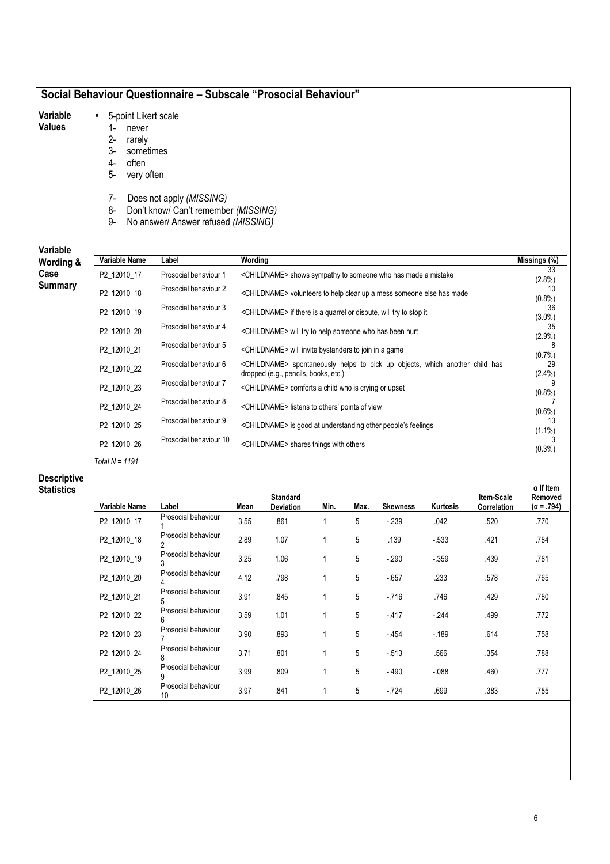| Social Behaviour Questionnaire – Subscale "Prosocial Behaviour" |  |  |  |  |
|-----------------------------------------------------------------|--|--|--|--|
|-----------------------------------------------------------------|--|--|--|--|

- 5-point Likert scale
- Variable Values
- 1- never
- 2- rarely
- 3- sometimes
- 4- often
- 5- very often
- 7- Does not apply (MISSING)
- 8- Don't know/ Can't remember (MISSING)
- 9- No answer/ Answer refused (MISSING)

| Wording &      | Variable Name | Label                  | Wording                                                                                                                          | Missings (%)    |
|----------------|---------------|------------------------|----------------------------------------------------------------------------------------------------------------------------------|-----------------|
| Case           | P2 12010 17   | Prosocial behaviour 1  | <childname> shows sympathy to someone who has made a mistake</childname>                                                         | 33<br>$(2.8\%)$ |
| <b>Summary</b> | P2_12010_18   | Prosocial behaviour 2  | <childname> volunteers to help clear up a mess someone else has made</childname>                                                 | 10<br>$(0.8\%)$ |
|                | P2 12010 19   | Prosocial behaviour 3  | <childname> if there is a quarrel or dispute, will try to stop it</childname>                                                    | 36<br>$(3.0\%)$ |
|                | P2_12010_20   | Prosocial behaviour 4  | <childname> will try to help someone who has been hurt</childname>                                                               | 35<br>(2.9%)    |
|                | P2 12010 21   | Prosocial behaviour 5  | <childname> will invite bystanders to join in a game</childname>                                                                 | (0.7%)          |
|                | P2 12010 22   | Prosocial behaviour 6  | <childname> spontaneously helps to pick up objects, which another child has<br/>dropped (e.g., pencils, books, etc.)</childname> | 29<br>$(2.4\%)$ |
|                | P2 12010 23   | Prosocial behaviour 7  | <childname> comforts a child who is crying or upset</childname>                                                                  | $(0.8\%)$       |
|                | P2 12010 24   | Prosocial behaviour 8  | <childname> listens to others' points of view</childname>                                                                        | $(0.6\%)$       |
|                | P2 12010 25   | Prosocial behaviour 9  | <childname> is good at understanding other people's feelings</childname>                                                         | 13<br>$(1.1\%)$ |
|                | P2 12010 26   | Prosocial behaviour 10 | <childname> shares things with others</childname>                                                                                | $(0.3\%)$       |

### Descriptive **Statistics**

| Variable Name | Label                     | Mean | <b>Standard</b><br><b>Deviation</b> | Min. | Max. | <b>Skewness</b> | <b>Kurtosis</b> | Item-Scale<br>Correlation | $\alpha$ If Item<br>Removed<br>$(\alpha = .794)$ |
|---------------|---------------------------|------|-------------------------------------|------|------|-----------------|-----------------|---------------------------|--------------------------------------------------|
| P2 12010 17   | Prosocial behaviour       | 3.55 | .861                                |      | 5    | $-239$          | .042            | .520                      | .770                                             |
| P2 12010 18   | Prosocial behaviour       | 2.89 | 1.07                                |      | 5    | .139            | $-533$          | .421                      | .784                                             |
| P2 12010 19   | Prosocial behaviour       | 3.25 | 1.06                                |      | 5    | $-290$          | $-0.359$        | .439                      | .781                                             |
| P2 12010 20   | Prosocial behaviour       | 4.12 | .798                                |      | 5    | $-657$          | .233            | .578                      | .765                                             |
| P2 12010 21   | Prosocial behaviour       | 3.91 | .845                                |      | 5    | $-716$          | .746            | .429                      | .780                                             |
| P2 12010 22   | Prosocial behaviour       | 3.59 | 1.01                                |      | 5    | $-417$          | $-244$          | .499                      | .772                                             |
| P2 12010 23   | Prosocial behaviour       | 3.90 | .893                                |      | 5    | $-454$          | $-189$          | .614                      | .758                                             |
| P2 12010 24   | Prosocial behaviour       | 3.71 | .801                                |      | 5    | $-513$          | .566            | .354                      | .788                                             |
| P2 12010 25   | Prosocial behaviour       | 3.99 | .809                                |      | 5    | $-.490$         | $-088$          | .460                      | .777                                             |
| P2 12010 26   | Prosocial behaviour<br>10 | 3.97 | .841                                |      | 5    | $-724$          | .699            | .383                      | .785                                             |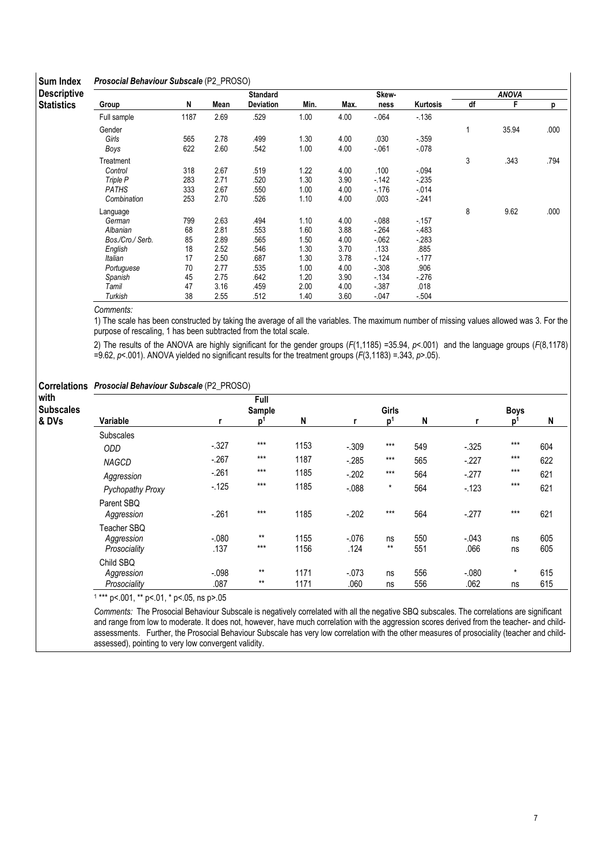### Sum Index Prosocial Behaviour Subscale (P2\_PROSO)

| <b>OUIII IIIUCA</b> | <b>I</b> TUSUCIAI DEITAYIUUI UUDSCAIE (1 Z. TITUUU) |      |      |                 |      |      |        |          |    |              |      |
|---------------------|-----------------------------------------------------|------|------|-----------------|------|------|--------|----------|----|--------------|------|
| <b>Descriptive</b>  |                                                     |      |      | <b>Standard</b> |      |      | Skew-  |          |    | <b>ANOVA</b> |      |
| <b>Statistics</b>   | Group                                               | N    | Mean | Deviation       | Min. | Max. | ness   | Kurtosis | df | F            | р    |
|                     | Full sample                                         | 1187 | 2.69 | .529            | 1.00 | 4.00 | $-064$ | $-136$   |    |              |      |
|                     | Gender                                              |      |      |                 |      |      |        |          | 1  | 35.94        | .000 |
|                     | Girls                                               | 565  | 2.78 | .499            | 1.30 | 4.00 | .030   | $-359$   |    |              |      |
|                     | Boys                                                | 622  | 2.60 | .542            | 1.00 | 4.00 | $-061$ | $-078$   |    |              |      |
|                     | Treatment                                           |      |      |                 |      |      |        |          | 3  | .343         | .794 |
|                     | Control                                             | 318  | 2.67 | .519            | 1.22 | 4.00 | .100   | $-0.94$  |    |              |      |
|                     | Triple P                                            | 283  | 2.71 | .520            | 1.30 | 3.90 | $-142$ | $-235$   |    |              |      |
|                     | <b>PATHS</b>                                        | 333  | 2.67 | .550            | 1.00 | 4.00 | $-176$ | $-014$   |    |              |      |
|                     | Combination                                         | 253  | 2.70 | .526            | 1.10 | 4.00 | .003   | $-241$   |    |              |      |
|                     | Language                                            |      |      |                 |      |      |        |          | 8  | 9.62         | .000 |
|                     | German                                              | 799  | 2.63 | .494            | 1.10 | 4.00 | $-088$ | $-157$   |    |              |      |
|                     | Albanian                                            | 68   | 2.81 | .553            | 1.60 | 3.88 | $-264$ | $-483$   |    |              |      |
|                     | Bos./Cro./ Serb.                                    | 85   | 2.89 | .565            | 1.50 | 4.00 | $-062$ | $-283$   |    |              |      |
|                     | English                                             | 18   | 2.52 | .546            | 1.30 | 3.70 | .133   | .885     |    |              |      |
|                     | Italian                                             | 17   | 2.50 | .687            | 1.30 | 3.78 | $-124$ | $-177$   |    |              |      |
|                     | Portuguese                                          | 70   | 2.77 | .535            | 1.00 | 4.00 | $-308$ | .906     |    |              |      |
|                     | Spanish                                             | 45   | 2.75 | .642            | 1.20 | 3.90 | $-134$ | $-276$   |    |              |      |
|                     | Tamil                                               | 47   | 3.16 | .459            | 2.00 | 4.00 | $-387$ | .018     |    |              |      |
|                     | Turkish                                             | 38   | 2.55 | .512            | 1.40 | 3.60 | $-047$ | $-504$   |    |              |      |

Comments:

1) The scale has been constructed by taking the average of all the variables. The maximum number of missing values allowed was 3. For the purpose of rescaling, 1 has been subtracted from the total scale.

2) The results of the ANOVA are highly significant for the gender groups (F(1,1185) =35.94, p<.001) and the language groups (F(8,1178) =9.62,  $p$ <.001). ANOVA yielded no significant results for the treatment groups ( $F(3,1183) = 343$ ,  $p > .05$ ).

### Correlations Prosocial Behaviour Subscale (P2\_PROSO)

| with<br><b>Subscales</b> |                                           |                  | Full<br>Sample |              |                 | Girls          |            |                 | <b>Boys</b>    |            |
|--------------------------|-------------------------------------------|------------------|----------------|--------------|-----------------|----------------|------------|-----------------|----------------|------------|
| & DVs                    | Variable                                  |                  | p <sup>1</sup> | N            |                 | p <sup>1</sup> | N          |                 | D <sup>1</sup> | N          |
|                          | Subscales                                 |                  |                |              |                 |                |            |                 |                |            |
|                          | <b>ODD</b>                                | $-.327$          | $***$          | 1153         | $-.309$         | $***$          | 549        | $-325$          | $***$          | 604        |
|                          | <b>NAGCD</b>                              | $-267$           | $***$          | 1187         | $-285$          | $***$          | 565        | $-227$          | ***            | 622        |
|                          | Aggression                                | $-261$           | $***$          | 1185         | $-.202$         | $***$          | 564        | $-.277$         | $***$          | 621        |
|                          | <b>Pychopathy Proxy</b>                   | $-125$           | $***$          | 1185         | $-.088$         | $\star$        | 564        | $-123$          | $***$          | 621        |
|                          | Parent SBQ<br>Aggression                  | $-261$           | $***$          | 1185         | $-.202$         | $***$          | 564        | $-.277$         | $***$          | 621        |
|                          | Teacher SBQ<br>Aggression<br>Prosociality | $-.080$<br>.137  | $**$<br>$***$  | 1155<br>1156 | $-.076$<br>.124 | ns<br>$***$    | 550<br>551 | $-.043$<br>.066 | ns<br>ns       | 605<br>605 |
|                          | Child SBQ                                 |                  |                |              |                 |                |            |                 |                |            |
|                          | Aggression<br>Prosociality                | $-0.098$<br>.087 | $***$<br>$***$ | 1171<br>1171 | $-.073$<br>.060 | ns<br>ns       | 556<br>556 | $-080$<br>.062  | $\star$<br>ns  | 615<br>615 |

1 \*\*\* p<.001, \*\* p<.01, \* p<.05, ns p>.05

Comments: The Prosocial Behaviour Subscale is negatively correlated with all the negative SBQ subscales. The correlations are significant and range from low to moderate. It does not, however, have much correlation with the aggression scores derived from the teacher- and childassessments. Further, the Prosocial Behaviour Subscale has very low correlation with the other measures of prosociality (teacher and childassessed), pointing to very low convergent validity.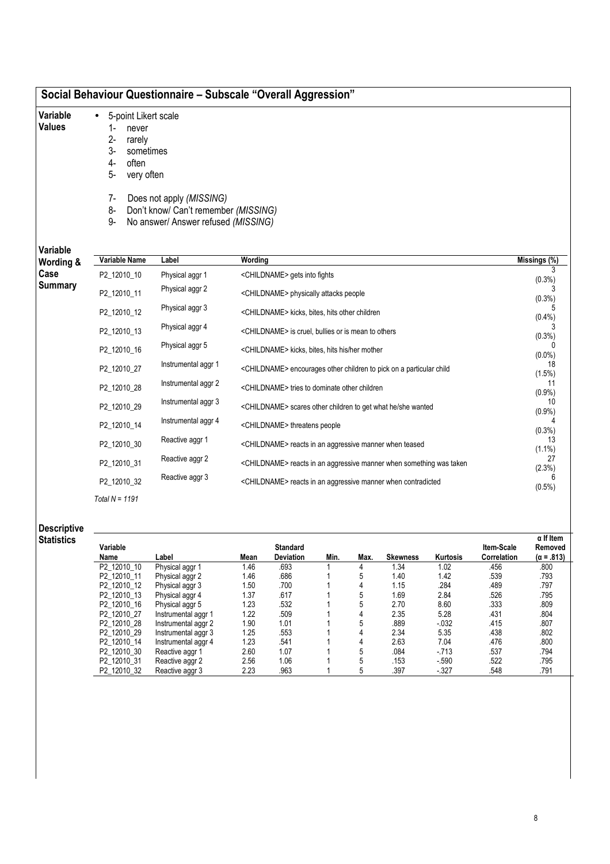| Social Behaviour Questionnaire – Subscale "Overall Aggression" |  |  |  |  |
|----------------------------------------------------------------|--|--|--|--|
|----------------------------------------------------------------|--|--|--|--|

- Variable • 5-point Likert scale
- Values
- 1- never
- 2- rarely
- 3- sometimes
- 4- often 5- very often
- 
- 7- Does not apply (MISSING)
- 8- Don't know/ Can't remember (MISSING)
- 9- No answer/ Answer refused (MISSING)

Variable

| Variable<br>Wording & | Variable Name    | Label               | Wording                                                                         | Missings (%)    |
|-----------------------|------------------|---------------------|---------------------------------------------------------------------------------|-----------------|
| Case                  | P2 12010 10      | Physical aggr 1     | <childname> gets into fights</childname>                                        | (0.3%)          |
| <b>Summary</b>        | P2_12010_11      | Physical aggr 2     | <childname> physically attacks people</childname>                               | (0.3%)          |
|                       | P2_12010_12      | Physical aggr 3     | <childname> kicks, bites, hits other children</childname>                       | (0.4% )         |
|                       | P2_12010_13      | Physical aggr 4     | <childname> is cruel, bullies or is mean to others</childname>                  | (0.3%)          |
|                       | P2_12010_16      | Physical aggr 5     | <childname> kicks, bites, hits his/her mother</childname>                       | $(0.0\%)$       |
|                       | P2 12010 27      | Instrumental aggr 1 | <childname> encourages other children to pick on a particular child</childname> | 18<br>(1.5%)    |
|                       | P2_12010_28      | Instrumental aggr 2 | <childname> tries to dominate other children</childname>                        | 11<br>(0.9%     |
|                       | P2_12010_29      | Instrumental aggr 3 | <childname> scares other children to get what he/she wanted</childname>         | 10<br>(0.9%     |
|                       | P2_12010_14      | Instrumental aggr 4 | <childname> threatens people</childname>                                        | $(0.3\%)$       |
|                       | P2_12010_30      | Reactive aggr 1     | <childname> reacts in an aggressive manner when teased</childname>              | 13<br>$(1.1\%)$ |
|                       | P2 12010 31      | Reactive aggr 2     | <childname> reacts in an aggressive manner when something was taken</childname> | 27<br>(2.3%)    |
|                       | P2_12010_32      | Reactive aggr 3     | <childname> reacts in an aggressive manner when contradicted</childname>        | $(0.5\%)$       |
|                       | Total $N = 1191$ |                     |                                                                                 |                 |

Descriptive

| Statistics |             |                     |      |                  |      |      |                 |                 |                    | α If Item         |
|------------|-------------|---------------------|------|------------------|------|------|-----------------|-----------------|--------------------|-------------------|
|            | Variable    |                     |      | <b>Standard</b>  |      |      |                 |                 | Item-Scale         | Removed           |
|            | Name        | Label               | Mean | <b>Deviation</b> | Min. | Max. | <b>Skewness</b> | <b>Kurtosis</b> | <b>Correlation</b> | $(\alpha = .813)$ |
|            | P2_12010_10 | Physical aggr 1     | 1.46 | .693             |      |      | 1.34            | 1.02            | .456               | .800              |
|            | P2 12010 11 | Physical aggr 2     | 1.46 | .686             |      |      | 1.40            | 1.42            | .539               | .793              |
|            | P2 12010 12 | Physical aggr 3     | 1.50 | .700             |      |      | 1.15            | .284            | .489               | .797              |
|            | P2 12010 13 | Physical aggr 4     | 1.37 | .617             |      | 5    | 1.69            | 2.84            | .526               | .795              |
|            | P2 12010 16 | Physical aggr 5     | 1.23 | .532             |      |      | 2.70            | 8.60            | .333               | .809              |
|            | P2 12010 27 | Instrumental aggr 1 | 1.22 | .509             |      |      | 2.35            | 5.28            | .431               | .804              |
|            | P2 12010 28 | Instrumental aggr 2 | 1.90 | 1.01             |      |      | .889            | $-0.32$         | .415               | .807              |
|            | P2 12010 29 | Instrumental aggr 3 | 1.25 | .553             |      |      | 2.34            | 5.35            | .438               | .802              |
|            | P2 12010 14 | Instrumental aggr 4 | 1.23 | .541             |      |      | 2.63            | 7.04            | .476               | .800              |
|            | P2 12010 30 | Reactive aggr 1     | 2.60 | 1.07             |      |      | .084            | $-713$          | .537               | .794              |
|            | P2 12010 31 | Reactive aggr 2     | 2.56 | 1.06             |      |      | .153            | $-590$          | .522               | .795              |
|            | P2 12010 32 | Reactive aggr 3     | 2.23 | .963             |      |      | .397            | $-327$          | .548               | .791              |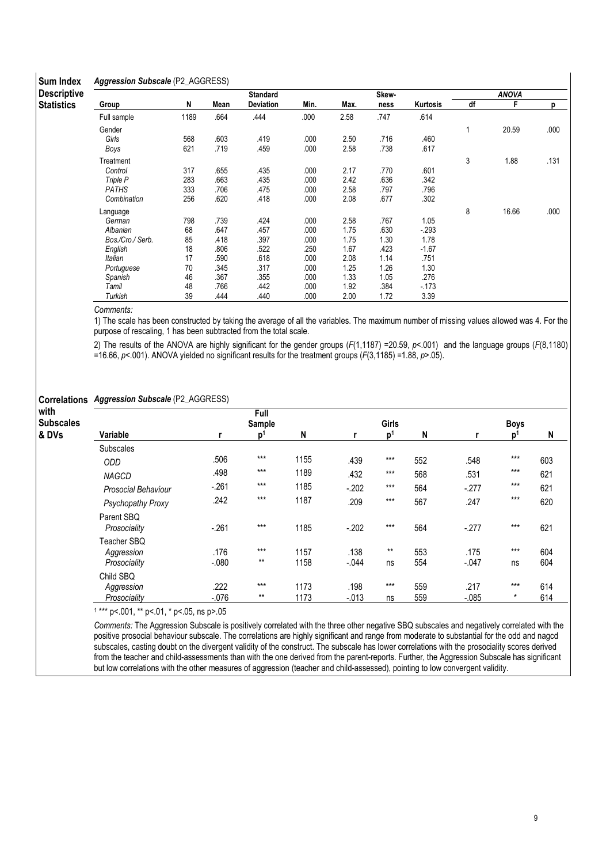#### Sum Index Aggression Subscale (P2\_AGGRESS)

| omii iiiman        | . ספי            |      |      |                 |      |      |       |          |    |              |      |
|--------------------|------------------|------|------|-----------------|------|------|-------|----------|----|--------------|------|
| <b>Descriptive</b> |                  |      |      | <b>Standard</b> |      |      | Skew- |          |    | <b>ANOVA</b> |      |
| <b>Statistics</b>  | Group            | N    | Mean | Deviation       | Min. | Max. | ness  | Kurtosis | df | F            | р    |
|                    | Full sample      | 1189 | .664 | .444            | .000 | 2.58 | .747  | .614     |    |              |      |
|                    | Gender           |      |      |                 |      |      |       |          |    | 20.59        | .000 |
|                    | Girls            | 568  | .603 | .419            | .000 | 2.50 | .716  | .460     |    |              |      |
|                    | Boys             | 621  | .719 | .459            | .000 | 2.58 | .738  | .617     |    |              |      |
|                    | Treatment        |      |      |                 |      |      |       |          | 3  | 1.88         | .131 |
|                    | Control          | 317  | .655 | .435            | .000 | 2.17 | .770  | .601     |    |              |      |
|                    | Triple P         | 283  | .663 | .435            | .000 | 2.42 | .636  | .342     |    |              |      |
|                    | <b>PATHS</b>     | 333  | .706 | .475            | .000 | 2.58 | .797  | .796     |    |              |      |
|                    | Combination      | 256  | .620 | .418            | .000 | 2.08 | .677  | .302     |    |              |      |
|                    | Language         |      |      |                 |      |      |       |          | 8  | 16.66        | .000 |
|                    | German           | 798  | .739 | .424            | .000 | 2.58 | .767  | 1.05     |    |              |      |
|                    | Albanian         | 68   | .647 | .457            | .000 | 1.75 | .630  | $-293$   |    |              |      |
|                    | Bos./Cro./ Serb. | 85   | .418 | .397            | .000 | 1.75 | 1.30  | 1.78     |    |              |      |
|                    | English          | 18   | .806 | .522            | .250 | 1.67 | .423  | $-1.67$  |    |              |      |
|                    | Italian          | 17   | .590 | .618            | .000 | 2.08 | 1.14  | .751     |    |              |      |
|                    | Portuguese       | 70   | 345  | .317            | .000 | 1.25 | 1.26  | 1.30     |    |              |      |
|                    | Spanish          | 46   | 367  | .355            | .000 | 1.33 | 1.05  | .276     |    |              |      |
|                    | Tamil            | 48   | .766 | .442            | .000 | 1.92 | .384  | $-173$   |    |              |      |
|                    | Turkish          | 39   | .444 | .440            | .000 | 2.00 | 1.72  | 3.39     |    |              |      |

Comments:

1) The scale has been constructed by taking the average of all the variables. The maximum number of missing values allowed was 4. For the purpose of rescaling, 1 has been subtracted from the total scale.

2) The results of the ANOVA are highly significant for the gender groups (F(1,1187) =20.59, p<.001) and the language groups (F(8,1180) =16.66, p<.001). ANOVA yielded no significant results for the treatment groups (F(3,1185) =1.88, p>.05).

### Correlations Aggression Subscale (P2\_AGGRESS)

| with             |                            |         | Full           |      |          |                |     |         |                |     |
|------------------|----------------------------|---------|----------------|------|----------|----------------|-----|---------|----------------|-----|
| <b>Subscales</b> |                            |         | Sample         |      |          | Girls          |     |         | <b>Boys</b>    |     |
| & DVs            | Variable                   |         | p <sup>1</sup> | N    |          | p <sup>1</sup> | N   |         | p <sup>1</sup> | N   |
|                  | <b>Subscales</b>           |         |                |      |          |                |     |         |                |     |
|                  | <b>ODD</b>                 | .506    | $***$          | 1155 | .439     | $***$          | 552 | .548    | $***$          | 603 |
|                  | <b>NAGCD</b>               | .498    | $***$          | 1189 | .432     | $***$          | 568 | .531    | $***$          | 621 |
|                  | Prosocial Behaviour        | $-261$  | $***$          | 1185 | $-.202$  | $***$          | 564 | $-277$  | $***$          | 621 |
|                  | Psychopathy Proxy          | .242    | $***$          | 1187 | .209     | $***$          | 567 | .247    | $***$          | 620 |
|                  | Parent SBQ<br>Prosociality | $-261$  | $***$          | 1185 | $-202$   | $***$          | 564 | $-.277$ | $***$          | 621 |
|                  | Teacher SBQ                |         |                |      |          |                |     |         |                |     |
|                  | Aggression                 | .176    | $***$          | 1157 | .138     | $***$          | 553 | .175    | $***$          | 604 |
|                  | Prosociality               | $-080$  | $***$          | 1158 | $-.044$  | ns             | 554 | $-047$  | ns             | 604 |
|                  | Child SBQ                  |         |                |      |          |                |     |         |                |     |
|                  | Aggression                 | .222    | $***$          | 1173 | .198     | $***$          | 559 | .217    | $***$          | 614 |
|                  | Prosociality               | $-.076$ | $***$          | 1173 | $-0.013$ | ns             | 559 | $-.085$ | $\star$        | 614 |

1 \*\*\* p<.001, \*\* p<.01, \* p<.05, ns p>.05

Comments: The Aggression Subscale is positively correlated with the three other negative SBQ subscales and negatively correlated with the positive prosocial behaviour subscale. The correlations are highly significant and range from moderate to substantial for the odd and nagcd subscales, casting doubt on the divergent validity of the construct. The subscale has lower correlations with the prosociality scores derived from the teacher and child-assessments than with the one derived from the parent-reports. Further, the Aggression Subscale has significant but low correlations with the other measures of aggression (teacher and child-assessed), pointing to low convergent validity.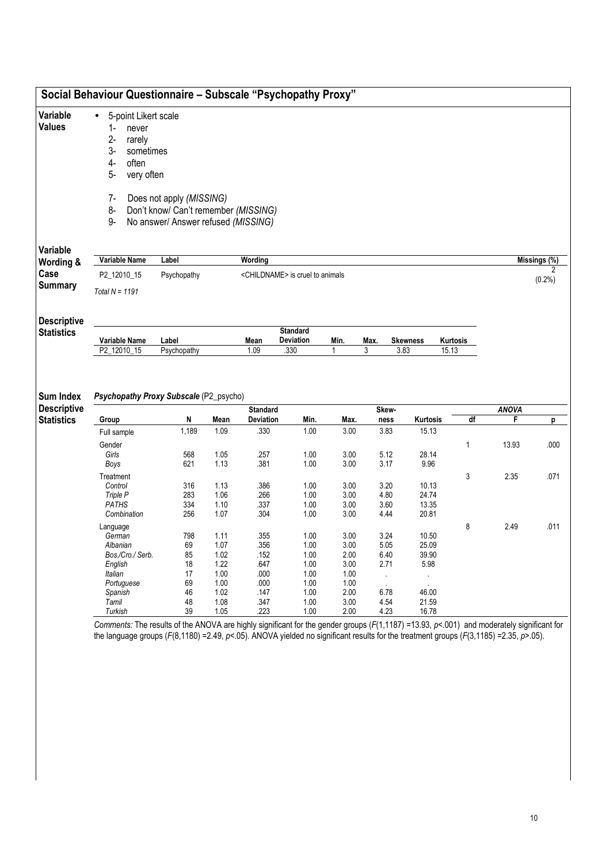|                    | 5-point Likert scale<br>$\bullet$      |                                      |              |                 |                                             |              |              |                         |       |                   |              |              |
|--------------------|----------------------------------------|--------------------------------------|--------------|-----------------|---------------------------------------------|--------------|--------------|-------------------------|-------|-------------------|--------------|--------------|
|                    | 1-<br>never                            |                                      |              |                 |                                             |              |              |                         |       |                   |              |              |
|                    | $2-$<br>rarely                         |                                      |              |                 |                                             |              |              |                         |       |                   |              |              |
|                    | $3-$<br>sometimes                      |                                      |              |                 |                                             |              |              |                         |       |                   |              |              |
|                    | $4-$<br>often                          |                                      |              |                 |                                             |              |              |                         |       |                   |              |              |
|                    |                                        |                                      |              |                 |                                             |              |              |                         |       |                   |              |              |
|                    | 5-<br>very often                       |                                      |              |                 |                                             |              |              |                         |       |                   |              |              |
|                    |                                        |                                      |              |                 |                                             |              |              |                         |       |                   |              |              |
|                    | $7-$                                   | Does not apply (MISSING)             |              |                 |                                             |              |              |                         |       |                   |              |              |
|                    | 8-                                     | Don't know/ Can't remember (MISSING) |              |                 |                                             |              |              |                         |       |                   |              |              |
|                    | 9-                                     | No answer/ Answer refused (MISSING)  |              |                 |                                             |              |              |                         |       |                   |              |              |
|                    |                                        |                                      |              |                 |                                             |              |              |                         |       |                   |              |              |
|                    | Variable Name                          | Label                                |              | Wording         |                                             |              |              |                         |       |                   |              |              |
|                    |                                        |                                      |              |                 |                                             |              |              |                         |       |                   |              | Missings (%) |
|                    | P2_12010_15                            | Psychopathy                          |              |                 | <childname> is cruel to animals</childname> |              |              |                         |       |                   |              | (0.2%)       |
|                    | Total $N = 1191$                       |                                      |              |                 |                                             |              |              |                         |       |                   |              |              |
|                    |                                        |                                      |              |                 |                                             |              |              |                         |       |                   |              |              |
| <b>Descriptive</b> |                                        |                                      |              |                 |                                             |              |              |                         |       |                   |              |              |
|                    |                                        |                                      |              |                 |                                             |              |              |                         |       |                   |              |              |
|                    |                                        |                                      |              |                 | <b>Standard</b>                             |              |              |                         |       |                   |              |              |
|                    | Variable Name<br>P2_12010_15           | Label<br>Psychopathy                 |              | Mean<br>1.09    | <b>Deviation</b><br>.330                    | Min.         | Max.<br>3    | <b>Skewness</b><br>3.83 |       | Kurtosis<br>15.13 |              |              |
| <b>Sum Index</b>   | Psychopathy Proxy Subscale (P2_psycho) |                                      |              |                 |                                             |              |              |                         |       |                   |              |              |
| <b>Descriptive</b> |                                        |                                      |              | <b>Standard</b> |                                             |              | Skew-        |                         |       |                   | <b>ANOVA</b> |              |
|                    | Group                                  | N                                    | Mean         | Deviation       | Min.                                        | Max.         | ness         | Kurtosis                |       | df                | F            | p            |
|                    | Full sample                            | 1,189                                | 1.09         | .330            | 1.00                                        | 3.00         | 3.83         |                         | 15.13 |                   |              |              |
|                    | Gender                                 |                                      |              |                 |                                             |              |              |                         |       | 1                 | 13.93        | .000         |
|                    | Girls                                  | 568                                  | 1.05         | .257            | 1.00                                        | 3.00         | 5.12         | 28.14                   |       |                   |              |              |
|                    | Boys                                   | 621                                  | 1.13         | .381            | 1.00                                        | 3.00         | 3.17         | 9.96                    |       |                   |              |              |
|                    |                                        |                                      |              |                 |                                             |              |              |                         |       |                   |              |              |
|                    | Treatment                              |                                      |              |                 |                                             |              |              |                         |       | 3                 | 2.35         | .071         |
|                    | Control                                | 316                                  | 1.13         | .386            | 1.00                                        | 3.00         | 3.20         |                         | 10.13 |                   |              |              |
|                    | Triple P                               | 283                                  | 1.06         | .266            | 1.00                                        | 3.00         | 4.80         | 24.74                   |       |                   |              |              |
|                    | <b>PATHS</b><br>Combination            | 334<br>256                           | 1.10         | .337<br>.304    | 1.00<br>1.00                                | 3.00<br>3.00 | 3.60<br>4.44 | 13.35<br>20.81          |       |                   |              |              |
|                    |                                        |                                      | 1.07         |                 |                                             |              |              |                         |       |                   |              |              |
|                    | Language                               |                                      |              |                 |                                             |              |              |                         |       | 8                 | 2.49         | .011         |
|                    | German                                 | 798                                  | 1.11         | .355            | 1.00                                        | 3.00         | 3.24         | 10.50                   |       |                   |              |              |
|                    | Albanian                               | 69                                   | 1.07         | .356            | 1.00                                        | 3.00         | 5.05         |                         | 25.09 |                   |              |              |
|                    | Bos./Cro./ Serb.                       | 85                                   | 1.02         | .152            | 1.00                                        | 2.00         | 6.40         | 39.90                   |       |                   |              |              |
|                    | English                                | 18                                   | 1.22         | .647            | 1.00                                        | 3.00         | 2.71         |                         | 5.98  |                   |              |              |
|                    | Italian                                | 17                                   | 1.00         | .000            | 1.00                                        | 1.00         | $\epsilon$   |                         |       |                   |              |              |
|                    | Portuguese                             | 69                                   | 1.00         | .000            | 1.00                                        | 1.00         |              |                         |       |                   |              |              |
|                    | Spanish                                | 46                                   | 1.02         | .147            | 1.00                                        | 2.00         | 6.78         | 46.00                   |       |                   |              |              |
|                    | Tamil<br>Turkish                       | 48<br>39                             | 1.08<br>1.05 | .347<br>.223    | 1.00<br>1.00                                | 3.00<br>2.00 | 4.54<br>4.23 | 21.59<br>16.78          |       |                   |              |              |